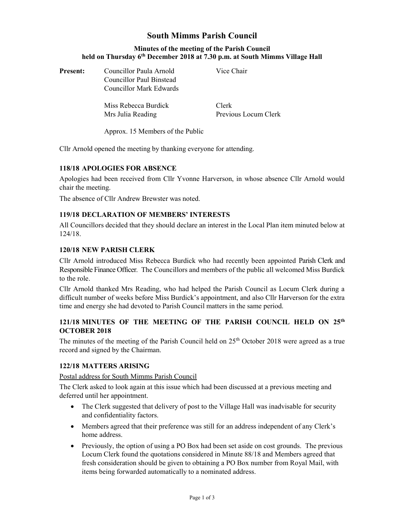# South Mimms Parish Council

## Minutes of the meeting of the Parish Council held on Thursday 6<sup>th</sup> December 2018 at 7.30 p.m. at South Mimms Village Hall

| <b>Present:</b> | Councillor Paula Arnold<br>Councillor Paul Binstead<br>Councillor Mark Edwards | Vice Chair                    |
|-----------------|--------------------------------------------------------------------------------|-------------------------------|
|                 | Miss Rebecca Burdick<br>Mrs Julia Reading                                      | Clerk<br>Previous Locum Clerk |

Approx. 15 Members of the Public

Cllr Arnold opened the meeting by thanking everyone for attending.

## 118/18 APOLOGIES FOR ABSENCE

Apologies had been received from Cllr Yvonne Harverson, in whose absence Cllr Arnold would chair the meeting.

The absence of Cllr Andrew Brewster was noted.

# 119/18 DECLARATION OF MEMBERS' INTERESTS

All Councillors decided that they should declare an interest in the Local Plan item minuted below at 124/18.

#### 120/18 NEW PARISH CLERK

Cllr Arnold introduced Miss Rebecca Burdick who had recently been appointed Parish Clerk and Responsible Finance Officer. The Councillors and members of the public all welcomed Miss Burdick to the role.

Cllr Arnold thanked Mrs Reading, who had helped the Parish Council as Locum Clerk during a difficult number of weeks before Miss Burdick's appointment, and also Cllr Harverson for the extra time and energy she had devoted to Parish Council matters in the same period.

# 121/18 MINUTES OF THE MEETING OF THE PARISH COUNCIL HELD ON 25<sup>th</sup> OCTOBER 2018

The minutes of the meeting of the Parish Council held on  $25<sup>th</sup>$  October 2018 were agreed as a true record and signed by the Chairman.

#### 122/18 MATTERS ARISING

Postal address for South Mimms Parish Council

The Clerk asked to look again at this issue which had been discussed at a previous meeting and deferred until her appointment.

- The Clerk suggested that delivery of post to the Village Hall was inadvisable for security and confidentiality factors.
- Members agreed that their preference was still for an address independent of any Clerk's home address.
- Previously, the option of using a PO Box had been set aside on cost grounds. The previous Locum Clerk found the quotations considered in Minute 88/18 and Members agreed that fresh consideration should be given to obtaining a PO Box number from Royal Mail, with items being forwarded automatically to a nominated address.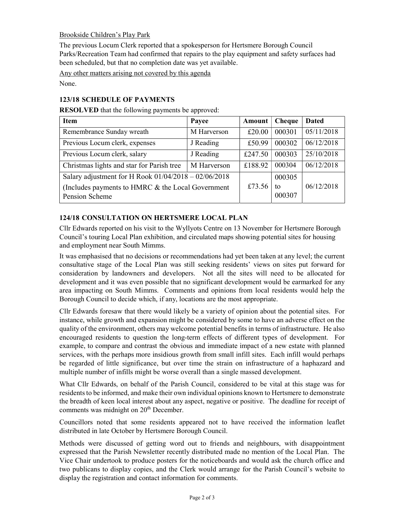## Brookside Children's Play Park

The previous Locum Clerk reported that a spokesperson for Hertsmere Borough Council Parks/Recreation Team had confirmed that repairs to the play equipment and safety surfaces had been scheduled, but that no completion date was yet available.

Any other matters arising not covered by this agenda

None.

#### 123/18 SCHEDULE OF PAYMENTS

RESOLVED that the following payments be approved:

| <b>Item</b>                                                          | Payee       | Amount  | Cheque       | <b>Dated</b> |
|----------------------------------------------------------------------|-------------|---------|--------------|--------------|
| Remembrance Sunday wreath                                            | M Harverson | £20.00  | 000301       | 05/11/2018   |
| Previous Locum clerk, expenses                                       | J Reading   | £50.99  | 000302       | 06/12/2018   |
| Previous Locum clerk, salary                                         | J Reading   | £247.50 | 000303       | 25/10/2018   |
| Christmas lights and star for Parish tree                            | M Harverson | £188.92 | 000304       | 06/12/2018   |
| Salary adjustment for H Rook $01/04/2018 - 02/06/2018$               |             |         | 000305       |              |
| (Includes payments to HMRC & the Local Government)<br>Pension Scheme |             |         | tο<br>000307 | 06/12/2018   |

# 124/18 CONSULTATION ON HERTSMERE LOCAL PLAN

Cllr Edwards reported on his visit to the Wyllyots Centre on 13 November for Hertsmere Borough Council's touring Local Plan exhibition, and circulated maps showing potential sites for housing and employment near South Mimms.

It was emphasised that no decisions or recommendations had yet been taken at any level; the current consultative stage of the Local Plan was still seeking residents' views on sites put forward for consideration by landowners and developers. Not all the sites will need to be allocated for development and it was even possible that no significant development would be earmarked for any area impacting on South Mimms. Comments and opinions from local residents would help the Borough Council to decide which, if any, locations are the most appropriate.

Cllr Edwards foresaw that there would likely be a variety of opinion about the potential sites. For instance, while growth and expansion might be considered by some to have an adverse effect on the quality of the environment, others may welcome potential benefits in terms of infrastructure. He also encouraged residents to question the long-term effects of different types of development. For example, to compare and contrast the obvious and immediate impact of a new estate with planned services, with the perhaps more insidious growth from small infill sites. Each infill would perhaps be regarded of little significance, but over time the strain on infrastructure of a haphazard and multiple number of infills might be worse overall than a single massed development.

What Cllr Edwards, on behalf of the Parish Council, considered to be vital at this stage was for residents to be informed, and make their own individual opinions known to Hertsmere to demonstrate the breadth of keen local interest about any aspect, negative or positive. The deadline for receipt of comments was midnight on 20<sup>th</sup> December.

Councillors noted that some residents appeared not to have received the information leaflet distributed in late October by Hertsmere Borough Council.

Methods were discussed of getting word out to friends and neighbours, with disappointment expressed that the Parish Newsletter recently distributed made no mention of the Local Plan. The Vice Chair undertook to produce posters for the noticeboards and would ask the church office and two publicans to display copies, and the Clerk would arrange for the Parish Council's website to display the registration and contact information for comments.